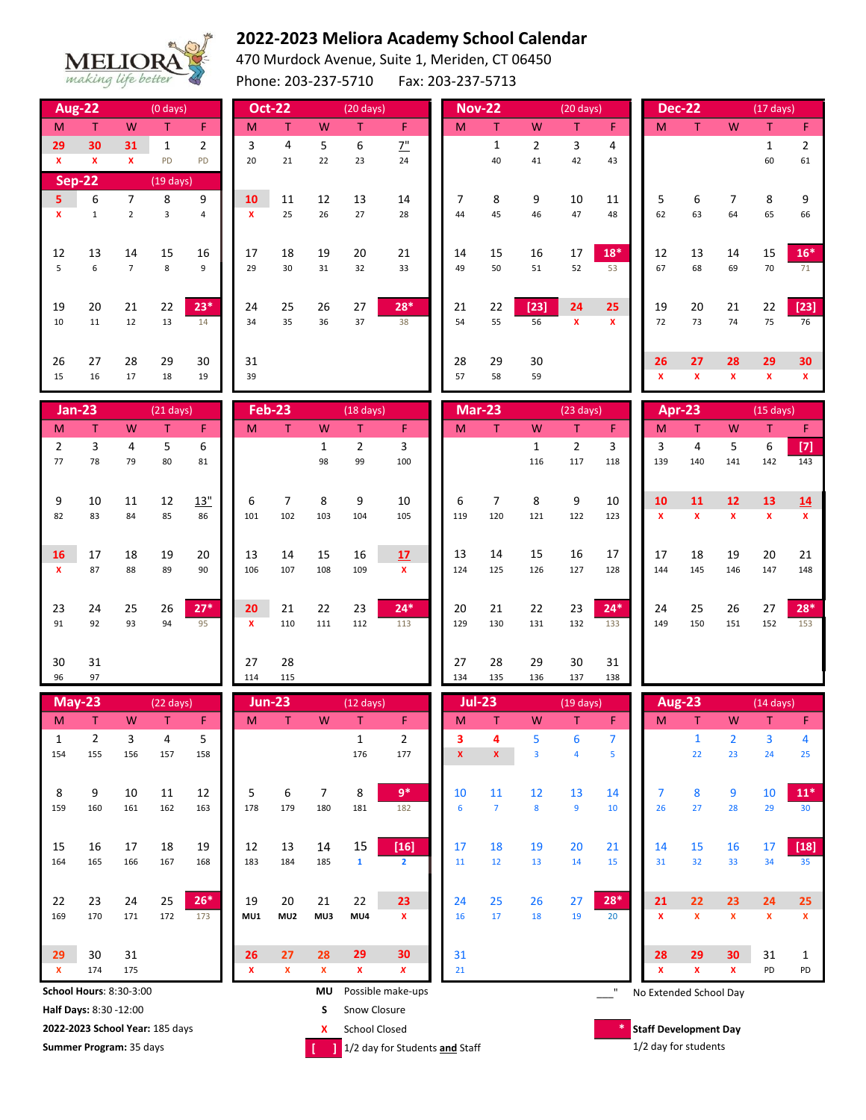

## **2022-2023 Meliora Academy School Calendar**

470 Murdock Avenue, Suite 1, Meriden, CT 06450

Phone: 203-237-5710 Fax: 203-237-5713

|                    | <b>Aug-22</b>                |                    | $(0$ days)               |                |                    | <b>Oct-22</b>       |               | $(20 \text{ days})$      |              |           | <b>Nov-22</b>  |                | $(20 \text{ days})$      |              |           | <b>Dec-22</b>                |                   | $(17 \text{ days})$      |                    |
|--------------------|------------------------------|--------------------|--------------------------|----------------|--------------------|---------------------|---------------|--------------------------|--------------|-----------|----------------|----------------|--------------------------|--------------|-----------|------------------------------|-------------------|--------------------------|--------------------|
| M                  | T.                           | W                  | $\mathsf T$              | F              | M                  | T                   | W             | T                        | F            | M         | $\top$         | W              | T                        | F.           | M         | T.                           | W                 | T                        | F.                 |
| 29                 | 30                           | 31                 | $\mathbf 1$              | $\overline{2}$ | 3                  | $\pmb{4}$           | 5             | $\boldsymbol{6}$         | 7"           |           | $\mathbf 1$    | $\overline{2}$ | 3                        | 4            |           |                              |                   | $\mathbf{1}$             | $\overline{2}$     |
| $\pmb{\mathsf{x}}$ | $\mathbf{x}$                 | $\pmb{\mathsf{x}}$ | PD                       | PD             | 20                 | 21                  | 22            | 23                       | 24           |           | 40             | 41             | 42                       | 43           |           |                              |                   | 60                       | 61                 |
|                    | <b>Sep-22</b>                |                    | $(19 \text{ days})$      |                |                    |                     |               |                          |              |           |                |                |                          |              |           |                              |                   |                          |                    |
| 5                  | 6                            | $\overline{7}$     | 8                        | 9              | 10                 | 11                  | 12            | 13                       | 14           | 7         | 8              | 9              | 10                       | 11           | 5         | 6                            | $\overline{7}$    | 8                        | 9                  |
| $\mathbf{x}$       | $\mathbf 1$                  | $\overline{2}$     | $\overline{3}$           | $\overline{4}$ | $\mathbf{x}$       | 25                  | 26            | 27                       | 28           | 44        | 45             | 46             | 47                       | 48           | 62        | 63                           | 64                | 65                       | 66                 |
|                    |                              |                    |                          |                |                    |                     |               |                          |              |           |                |                |                          |              |           |                              |                   |                          |                    |
| 12                 | 13                           | 14                 | 15                       | 16             | 17                 | 18                  | 19            | 20                       | 21           | 14        | 15             | 16             | 17                       | $18*$        | 12        | 13                           | 14                | 15                       | $16*$              |
| 5                  | 6                            | $\overline{7}$     | 8                        | 9              | 29                 | 30                  | 31            | 32                       | 33           | 49        | 50             | 51             | 52                       | 53           | 67        | 68                           | 69                | 70                       | 71                 |
|                    |                              |                    |                          |                |                    |                     |               |                          |              |           |                |                |                          |              |           |                              |                   |                          |                    |
| 19                 | 20                           | 21                 | 22                       | $23*$          | 24                 | 25                  | 26            | 27                       | $28*$        | 21        | 22             | $[23]$         | 24                       | 25           | 19        | 20                           | 21                | 22                       | $[23]$             |
| 10                 | 11                           | 12                 | 13                       | 14             | 34                 | 35                  | 36            | 37                       | 38           | 54        | 55             | 56             | x                        | $\mathbf{x}$ | 72        | 73                           | 74                | 75                       | 76                 |
|                    |                              |                    |                          |                |                    |                     |               |                          |              |           |                |                |                          |              |           |                              |                   |                          |                    |
| 26<br>15           | 27<br>16                     | 28<br>17           | 29<br>18                 | 30<br>19       | 31                 |                     |               |                          |              | 28<br>57  | 29<br>58       | 30<br>59       |                          |              | 26<br>x   | 27<br>$\mathbf x$            | 28<br>$\mathbf x$ | 29<br>$\mathbf{x}$       | 30<br>$\mathbf{x}$ |
|                    |                              |                    |                          |                | 39                 |                     |               |                          |              |           |                |                |                          |              |           |                              |                   |                          |                    |
|                    | $Jan-23$                     |                    | $(21$ days)              |                |                    | <b>Feb-23</b>       |               | $(18 \text{ days})$      |              |           | <b>Mar-23</b>  |                | $(23 \text{ days})$      |              |           | Apr-23                       |                   | $(15 \text{ days})$      |                    |
|                    |                              |                    |                          |                |                    |                     |               |                          |              |           |                |                |                          |              |           |                              |                   |                          |                    |
| M                  | T.                           | W                  | $\mathsf T$              | F              | M                  | T                   | W             | $\mathsf T$              | $\mathsf F$  | M         | $\mathsf T$    | W              | T                        | F            | M         | $\mathsf T$                  | W                 | T                        | F                  |
| $\overline{2}$     | 3                            | 4                  | 5                        | 6              |                    |                     | $\mathbf{1}$  | $\overline{2}$           | 3            |           |                | $\mathbf{1}$   | $\overline{2}$           | 3            | 3         | 4                            | 5                 | 6                        | $[7]$              |
| 77                 | 78                           | 79                 | 80                       | 81             |                    |                     | 98            | 99                       | 100          |           |                | 116            | 117                      | 118          | 139       | 140                          | 141               | 142                      | 143                |
|                    |                              |                    |                          |                |                    |                     |               |                          |              |           |                |                |                          |              |           |                              |                   |                          |                    |
| 9                  | 10                           | 11                 | 12                       | 13"            | 6                  | $\overline{7}$      | 8             | 9                        | 10           | 6         | $\overline{7}$ | 8              | 9                        | 10           | 10        | 11                           | 12                | 13                       | 14                 |
| 82                 | 83                           | 84                 | 85                       | 86             | 101                | 102                 | 103           | 104                      | 105          | 119       | 120            | 121            | 122                      | 123          | X         | $\mathbf x$                  | $\mathbf x$       | $\mathbf{x}$             | $\mathbf x$        |
|                    |                              |                    |                          |                |                    |                     |               |                          |              |           |                |                |                          |              |           |                              |                   |                          |                    |
| 16                 | 17                           | 18                 | 19                       | 20             | 13                 | 14                  | 15            | 16                       | 17           | 13        | 14             | 15             | 16                       | 17           | 17        | 18                           | 19                | 20                       | 21                 |
| $\mathbf x$        | 87                           | 88                 | 89                       | 90             | 106                | 107                 | 108           | 109                      | $\mathbf{x}$ | 124       | 125            | 126            | 127                      | 128          | 144       | 145                          | 146               | 147                      | 148                |
|                    |                              |                    |                          |                |                    |                     |               |                          |              |           |                |                |                          |              |           |                              |                   |                          |                    |
| 23<br>91           | 24<br>92                     | 25<br>93           | 26<br>94                 | $27*$<br>95    | 20<br>$\mathbf{x}$ | 21<br>110           | 22<br>111     | 23<br>112                | $24*$<br>113 | 20<br>129 | 21<br>130      | 22<br>131      | 23<br>132                | $24*$<br>133 | 24<br>149 | 25<br>150                    | 26<br>151         | 27<br>152                | $28*$<br>153       |
|                    |                              |                    |                          |                |                    |                     |               |                          |              |           |                |                |                          |              |           |                              |                   |                          |                    |
|                    |                              |                    |                          |                |                    |                     |               |                          |              |           |                |                |                          |              |           |                              |                   |                          |                    |
| 30<br>96           | 31<br>97                     |                    |                          |                | 27<br>114          | 28<br>115           |               |                          |              | 27<br>134 | 28<br>135      | 29<br>136      | 30<br>137                | 31<br>138    |           |                              |                   |                          |                    |
|                    |                              |                    |                          |                |                    |                     |               |                          |              |           |                |                |                          |              |           |                              |                   |                          |                    |
| M                  | <b>May-23</b><br>$\mathsf T$ | ${\mathsf W}$      | $(22 \text{ days})$<br>T | F              | M                  | <b>Jun-23</b><br>T. | ${\mathsf W}$ | $(12 \text{ days})$<br>T | F            | M         | $Jul-23$<br>T  | W              | $(19 \text{ days})$<br>T | F            | M         | <b>Aug-23</b><br>$\mathsf T$ | W                 | $(14 \text{ days})$<br>Τ | F                  |

| M                                    | т                               | W   | т   | F.    | M   |                   | W                              |                      | F.             | M           | т              | W              | т                      | F.                   | M                                 |              | W              |                | F               |  |
|--------------------------------------|---------------------------------|-----|-----|-------|-----|-------------------|--------------------------------|----------------------|----------------|-------------|----------------|----------------|------------------------|----------------------|-----------------------------------|--------------|----------------|----------------|-----------------|--|
| 1                                    | $\overline{2}$                  | 3   | 4   | 5     |     |                   |                                | $\mathbf{1}$         | 2              | 3           | 4              | 5              | 6                      | 7                    |                                   |              | $\overline{2}$ | $\overline{3}$ | 4               |  |
| 154                                  | 155                             | 156 | 157 | 158   |     |                   |                                | 176                  | 177            | $\mathbf x$ | $\mathbf{x}$   | $\overline{3}$ | 4                      | 5                    |                                   | 22           | 23             | 24             | 25              |  |
|                                      |                                 |     |     |       |     |                   |                                |                      |                |             |                |                |                        |                      |                                   |              |                |                |                 |  |
| 8                                    | 9                               | 10  | 11  | 12    | 5   | 6                 | 7                              | 8                    | $9*$           | 10          | 11             | 12             | 13                     | 14                   | 7                                 | 8            | 9              | 10             | $11*$           |  |
| 159                                  | 160                             | 161 | 162 | 163   | 178 | 179               | 180                            | 181                  | 182            | 6           | $\overline{7}$ | 8              | 9                      | 10                   | 26                                | 27           | 28             | 29             | 30 <sup>°</sup> |  |
|                                      |                                 |     |     |       |     |                   |                                |                      |                |             |                |                |                        |                      |                                   |              |                |                |                 |  |
| 15                                   | 16                              | 17  | 18  | 19    | 12  | 13                | 14                             | 15                   | $[16]$         | 17          | 18             | 19             | 20                     | 21                   | 14                                | 15           | 16             | 17             | $[18]$          |  |
| 164                                  | 165                             | 166 | 167 | 168   | 183 | 184               | 185                            | $\mathbf{1}$         | $\overline{2}$ | 11          | 12             | 13             | 14                     | 15                   | 31                                | 32           | 33             | 34             | 35              |  |
|                                      |                                 |     |     |       |     |                   |                                |                      |                |             |                |                |                        |                      |                                   |              |                |                |                 |  |
| 22                                   | 23                              | 24  | 25  | $26*$ | 19  | 20                | 21                             | 22                   | 23             | 24          | 25             | 26             | 27                     | $28*$                | 21                                | 22           | 23             | 24             | 25              |  |
| 169                                  | 170                             | 171 | 172 | 173   | MU1 | MU <sub>2</sub>   | MU3                            | MU4                  | x              | 16          | 17             | 18             | 19                     | 20                   | $\mathbf{x}$                      | $\mathbf{x}$ | $\mathbf{x}$   | $\mathbf{x}$   | $\mathbf{x}$    |  |
|                                      |                                 |     |     |       |     |                   |                                |                      |                |             |                |                |                        |                      |                                   |              |                |                |                 |  |
| 29                                   | 30                              | 31  |     |       | 26  | 27                | 28                             | 29                   | 30             | 31          |                |                |                        |                      | 28                                | 29           | 30             | 31             |                 |  |
| $\boldsymbol{\mathsf{x}}$            | 174                             | 175 |     |       | x   | x                 | x                              | x                    | x              | 21          |                |                |                        |                      | x                                 | x            | x              | PD             | PD              |  |
| <b>School Hours: 8:30-3:00</b><br>MU |                                 |     |     |       |     | Possible make-ups |                                |                      |                |             |                |                | No Extended School Day |                      |                                   |              |                |                |                 |  |
| Half Days: 8:30 -12:00               |                                 |     |     |       |     | S                 | Snow Closure                   |                      |                |             |                |                |                        |                      |                                   |              |                |                |                 |  |
|                                      | 2022-2023 School Year: 185 days |     |     |       |     |                   | x                              | <b>School Closed</b> |                |             |                |                |                        |                      | *<br><b>Staff Development Day</b> |              |                |                |                 |  |
| Summer Program: 35 days              |                                 |     |     |       |     |                   | 1/2 day for Students and Staff |                      |                |             |                |                |                        | 1/2 day for students |                                   |              |                |                |                 |  |